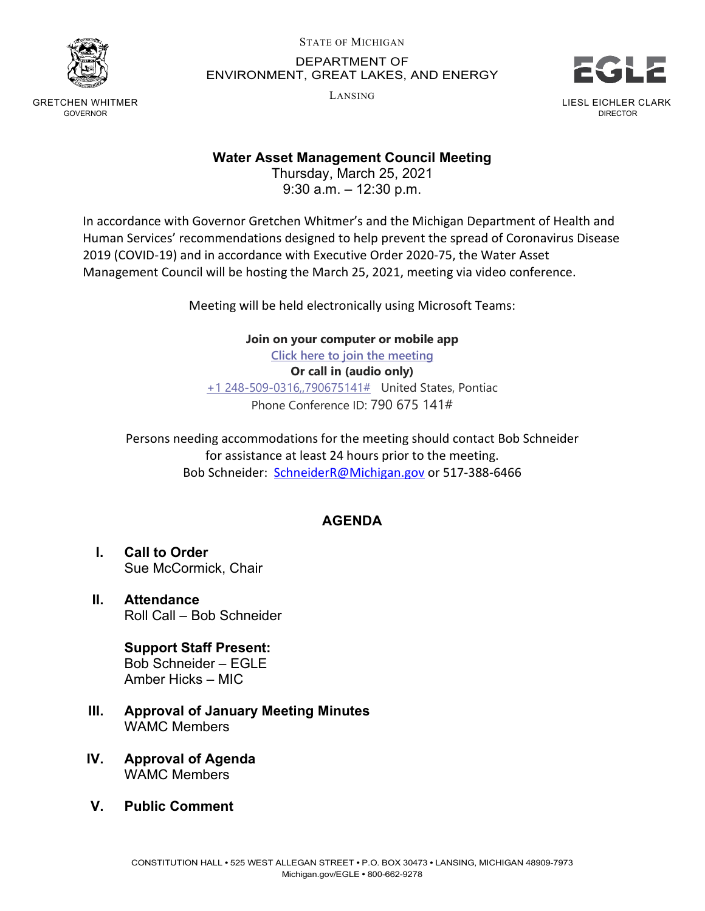

GRETCHEN WHITMER GOVERNOR

## STATE OF MICHIGAN DEPARTMENT OF ENVIRONMENT, GREAT LAKES, AND ENERGY

LANSING



## **Water Asset Management Council Meeting**

Thursday, March 25, 2021 9:30 a.m. – 12:30 p.m.

In accordance with Governor Gretchen Whitmer's and the Michigan Department of Health and Human Services' recommendations designed to help prevent the spread of Coronavirus Disease 2019 (COVID-19) and in accordance with Executive Order 2020-75, the Water Asset Management Council will be hosting the March 25, 2021, meeting via video conference.

Meeting will be held electronically using Microsoft Teams:

**Join on your computer or mobile app**

**[Click here to join the meeting](https://teams.microsoft.com/l/meetup-join/19%3ameeting_NzVhMDc2NjEtOTdlZC00NjM2LThlOTAtNzhhOTQyNzA4ZjY5%40thread.v2/0?context=%7b%22Tid%22%3a%22d5fb7087-3777-42ad-966a-892ef47225d1%22%2c%22Oid%22%3a%2216f2c2b8-1c1d-41c3-a65e-eb4dcd9b8051%22%7d)**

**Or call in (audio only)** [+1 248-509-0316,,790675141#](tel:+12485090316,,790675141#%20) United States, Pontiac Phone Conference ID: 790 675 141#

Persons needing accommodations for the meeting should contact Bob Schneider for assistance at least 24 hours prior to the meeting. Bob Schneider: [SchneiderR@Michigan.gov](mailto:SchneiderR@Michigan.gov) or 517-388-6466

## **AGENDA**

- **I. Call to Order** Sue McCormick, Chair
- **II. Attendance** Roll Call – Bob Schneider

**Support Staff Present:** Bob Schneider – EGLE Amber Hicks – MIC

- **III. Approval of January Meeting Minutes** WAMC Members
- **IV. Approval of Agenda** WAMC Members
- **V. Public Comment**